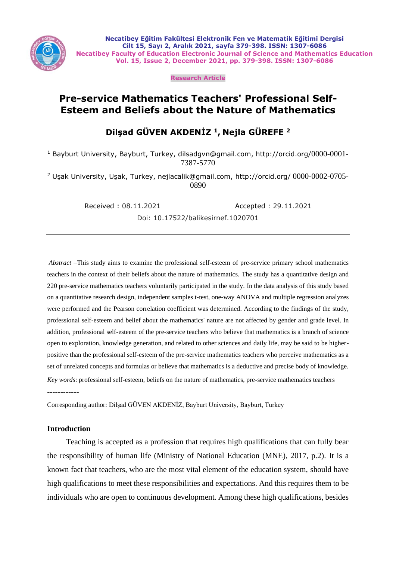

**Necatibey Eğitim Fakültesi Elektronik Fen ve Matematik Eğitimi Dergisi Cilt 15, Sayı 2, Aralık 2021, sayfa 379-398. ISSN: 1307-6086 Necatibey Faculty of Education Electronic Journal of Science and Mathematics Education Vol. 15, Issue 2, December 2021, pp. 379-398. ISSN: 1307-6086**

**Research Article**

# **Pre-service Mathematics Teachers' Professional Self-Esteem and Beliefs about the Nature of Mathematics**

# **Dilşad GÜVEN AKDENİZ <sup>1</sup>, Nejla GÜREFE <sup>2</sup>**

<sup>1</sup> Bayburt University, Bayburt, Turkey, dilsadgvn@gmail.com, http://orcid.org/0000-0001-7387-5770

<sup>2</sup> Uşak University, Uşak, Turkey, nejlacalik@gmail.com, http://orcid.org/ 0000-0002-0705- 0890

Received : 08.11.2021 Accepted : 29.11.2021

Doi: 10.17522/balikesirnef.1020701

*Abstract* –This study aims to examine the professional self-esteem of pre-service primary school mathematics teachers in the context of their beliefs about the nature of mathematics. The study has a quantitative design and 220 pre-service mathematics teachers voluntarily participated in the study. In the data analysis of this study based on a quantitative research design, independent samples t-test, one-way ANOVA and multiple regression analyzes were performed and the Pearson correlation coefficient was determined. According to the findings of the study, professional self-esteem and belief about the mathematics' nature are not affected by gender and grade level. In addition, professional self-esteem of the pre-service teachers who believe that mathematics is a branch of science open to exploration, knowledge generation, and related to other sciences and daily life, may be said to be higherpositive than the professional self-esteem of the pre-service mathematics teachers who perceive mathematics as a set of unrelated concepts and formulas or believe that mathematics is a deductive and precise body of knowledge. *Key words*: professional self-esteem, beliefs on the nature of mathematics, pre-service mathematics teachers ------------

Corresponding author: Dilşad GÜVEN AKDENİZ, Bayburt University, Bayburt, Turkey

### **Introduction**

Teaching is accepted as a profession that requires high qualifications that can fully bear the responsibility of human life (Ministry of National Education (MNE), 2017, p.2). It is a known fact that teachers, who are the most vital element of the education system, should have high qualifications to meet these responsibilities and expectations. And this requires them to be individuals who are open to continuous development. Among these high qualifications, besides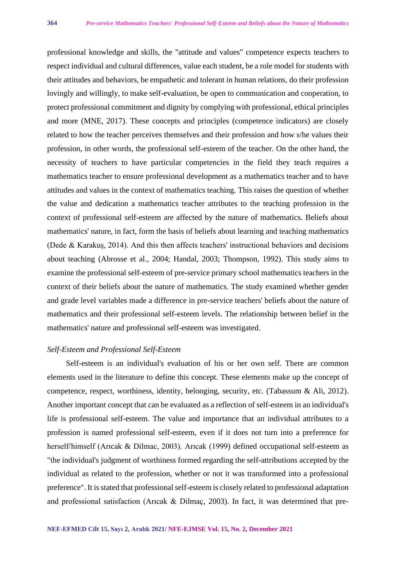professional knowledge and skills, the "attitude and values" competence expects teachers to respect individual and cultural differences, value each student, be a role model for students with their attitudes and behaviors, be empathetic and tolerant in human relations, do their profession lovingly and willingly, to make self-evaluation, be open to communication and cooperation, to protect professional commitment and dignity by complying with professional, ethical principles and more (MNE, 2017). These concepts and principles (competence indicators) are closely related to how the teacher perceives themselves and their profession and how s/he values their profession, in other words, the professional self-esteem of the teacher. On the other hand, the necessity of teachers to have particular competencies in the field they teach requires a mathematics teacher to ensure professional development as a mathematics teacher and to have attitudes and values in the context of mathematics teaching. This raises the question of whether the value and dedication a mathematics teacher attributes to the teaching profession in the context of professional self-esteem are affected by the nature of mathematics. Beliefs about mathematics' nature, in fact, form the basis of beliefs about learning and teaching mathematics (Dede & Karakuş, 2014). And this then affects teachers' instructional behaviors and decisions about teaching (Abrosse et al., 2004; Handal, 2003; Thompson, 1992). This study aims to examine the professional self-esteem of pre-service primary school mathematics teachers in the context of their beliefs about the nature of mathematics. The study examined whether gender and grade level variables made a difference in pre-service teachers' beliefs about the nature of mathematics and their professional self-esteem levels. The relationship between belief in the mathematics' nature and professional self-esteem was investigated.

### *Self-Esteem and Professional Self-Esteem*

Self-esteem is an individual's evaluation of his or her own self. There are common elements used in the literature to define this concept. These elements make up the concept of competence, respect, worthiness, identity, belonging, security, etc. (Tabassum & Ali, 2012). Another important concept that can be evaluated as a reflection of self-esteem in an individual's life is professional self-esteem. The value and importance that an individual attributes to a profession is named professional self-esteem, even if it does not turn into a preference for herself/himself (Arıcak & Dilmac, 2003). Arıcak (1999) defined occupational self-esteem as "the individual's judgment of worthiness formed regarding the self-attributions accepted by the individual as related to the profession, whether or not it was transformed into a professional preference". It is stated that professional self-esteem is closely related to professional adaptation and professional satisfaction (Arıcak & Dilmaç, 2003). In fact, it was determined that pre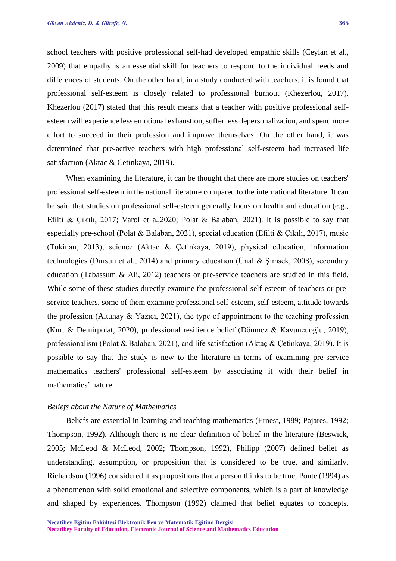school teachers with positive professional self-had developed empathic skills (Ceylan et al., 2009) that empathy is an essential skill for teachers to respond to the individual needs and differences of students. On the other hand, in a study conducted with teachers, it is found that professional self-esteem is closely related to professional burnout (Khezerlou, 2017). Khezerlou (2017) stated that this result means that a teacher with positive professional selfesteem will experience less emotional exhaustion, suffer less depersonalization, and spend more effort to succeed in their profession and improve themselves. On the other hand, it was determined that pre-active teachers with high professional self-esteem had increased life satisfaction (Aktac & Cetinkaya, 2019).

When examining the literature, it can be thought that there are more studies on teachers' professional self-esteem in the national literature compared to the international literature. It can be said that studies on professional self-esteem generally focus on health and education (e.g., Efilti & Çıkılı, 2017; Varol et a.,2020; Polat & Balaban, 2021). It is possible to say that especially pre-school (Polat & Balaban, 2021), special education (Efilti & Çıkılı, 2017), music (Tokinan, 2013), science (Aktaç & Çetinkaya, 2019), physical education, information technologies (Dursun et al., 2014) and primary education (Ünal & Şimsek, 2008), secondary education (Tabassum & Ali, 2012) teachers or pre-service teachers are studied in this field. While some of these studies directly examine the professional self-esteem of teachers or preservice teachers, some of them examine professional self-esteem, self-esteem, attitude towards the profession (Altunay & Yazıcı, 2021), the type of appointment to the teaching profession (Kurt & Demirpolat, 2020), professional resilience belief (Dönmez & Kavuncuoğlu, 2019), professionalism (Polat & Balaban, 2021), and life satisfaction (Aktaç & Çetinkaya, 2019). It is possible to say that the study is new to the literature in terms of examining pre-service mathematics teachers' professional self-esteem by associating it with their belief in mathematics' nature.

### *Beliefs about the Nature of Mathematics*

Beliefs are essential in learning and teaching mathematics (Ernest, 1989; Pajares, 1992; Thompson, 1992). Although there is no clear definition of belief in the literature (Beswick, 2005; McLeod & McLeod, 2002; Thompson, 1992), Philipp (2007) defined belief as understanding, assumption, or proposition that is considered to be true, and similarly, Richardson (1996) considered it as propositions that a person thinks to be true, Ponte (1994) as a phenomenon with solid emotional and selective components, which is a part of knowledge and shaped by experiences. Thompson (1992) claimed that belief equates to concepts,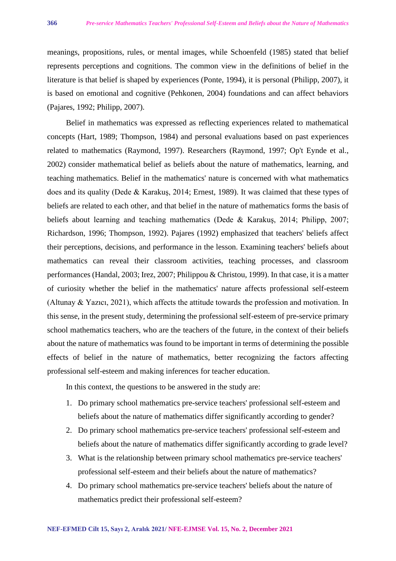meanings, propositions, rules, or mental images, while Schoenfeld (1985) stated that belief represents perceptions and cognitions. The common view in the definitions of belief in the literature is that belief is shaped by experiences (Ponte, 1994), it is personal (Philipp, 2007), it is based on emotional and cognitive (Pehkonen, 2004) foundations and can affect behaviors (Pajares, 1992; Philipp, 2007).

Belief in mathematics was expressed as reflecting experiences related to mathematical concepts (Hart, 1989; Thompson, 1984) and personal evaluations based on past experiences related to mathematics (Raymond, 1997). Researchers (Raymond, 1997; Op't Eynde et al., 2002) consider mathematical belief as beliefs about the nature of mathematics, learning, and teaching mathematics. Belief in the mathematics' nature is concerned with what mathematics does and its quality (Dede & Karakuş, 2014; Ernest, 1989). It was claimed that these types of beliefs are related to each other, and that belief in the nature of mathematics forms the basis of beliefs about learning and teaching mathematics (Dede & Karakuş, 2014; Philipp, 2007; Richardson, 1996; Thompson, 1992). Pajares (1992) emphasized that teachers' beliefs affect their perceptions, decisions, and performance in the lesson. Examining teachers' beliefs about mathematics can reveal their classroom activities, teaching processes, and classroom performances (Handal, 2003; Irez, 2007; Philippou & Christou, 1999). In that case, it is a matter of curiosity whether the belief in the mathematics' nature affects professional self-esteem (Altunay & Yazıcı, 2021), which affects the attitude towards the profession and motivation. In this sense, in the present study, determining the professional self-esteem of pre-service primary school mathematics teachers, who are the teachers of the future, in the context of their beliefs about the nature of mathematics was found to be important in terms of determining the possible effects of belief in the nature of mathematics, better recognizing the factors affecting professional self-esteem and making inferences for teacher education.

In this context, the questions to be answered in the study are:

- 1. Do primary school mathematics pre-service teachers' professional self-esteem and beliefs about the nature of mathematics differ significantly according to gender?
- 2. Do primary school mathematics pre-service teachers' professional self-esteem and beliefs about the nature of mathematics differ significantly according to grade level?
- 3. What is the relationship between primary school mathematics pre-service teachers' professional self-esteem and their beliefs about the nature of mathematics?
- 4. Do primary school mathematics pre-service teachers' beliefs about the nature of mathematics predict their professional self-esteem?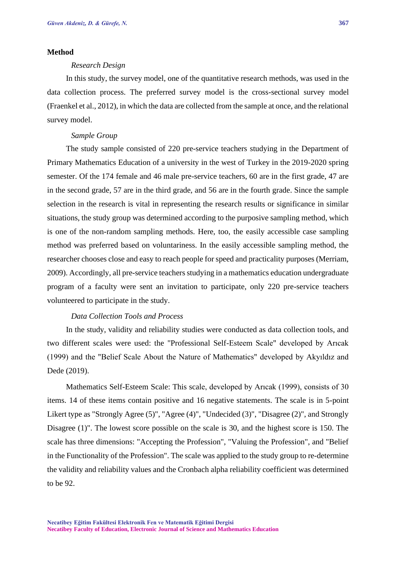### **Method**

### *Research Design*

In this study, the survey model, one of the quantitative research methods, was used in the data collection process. The preferred survey model is the cross-sectional survey model (Fraenkel et al., 2012), in which the data are collected from the sample at once, and the relational survey model.

### *Sample Group*

The study sample consisted of 220 pre-service teachers studying in the Department of Primary Mathematics Education of a university in the west of Turkey in the 2019-2020 spring semester. Of the 174 female and 46 male pre-service teachers, 60 are in the first grade, 47 are in the second grade, 57 are in the third grade, and 56 are in the fourth grade. Since the sample selection in the research is vital in representing the research results or significance in similar situations, the study group was determined according to the purposive sampling method, which is one of the non-random sampling methods. Here, too, the easily accessible case sampling method was preferred based on voluntariness. In the easily accessible sampling method, the researcher chooses close and easy to reach people for speed and practicality purposes (Merriam, 2009). Accordingly, all pre-service teachers studying in a mathematics education undergraduate program of a faculty were sent an invitation to participate, only 220 pre-service teachers volunteered to participate in the study.

### *Data Collection Tools and Process*

In the study, validity and reliability studies were conducted as data collection tools, and two different scales were used: the "Professional Self-Esteem Scale" developed by Arıcak (1999) and the "Belief Scale About the Nature of Mathematics" developed by Akyıldız and Dede (2019).

Mathematics Self-Esteem Scale: This scale, developed by Arıcak (1999), consists of 30 items. 14 of these items contain positive and 16 negative statements. The scale is in 5-point Likert type as "Strongly Agree (5)", "Agree (4)", "Undecided (3)", "Disagree (2)", and Strongly Disagree (1)". The lowest score possible on the scale is 30, and the highest score is 150. The scale has three dimensions: "Accepting the Profession", "Valuing the Profession", and "Belief in the Functionality of the Profession". The scale was applied to the study group to re-determine the validity and reliability values and the Cronbach alpha reliability coefficient was determined to be 92.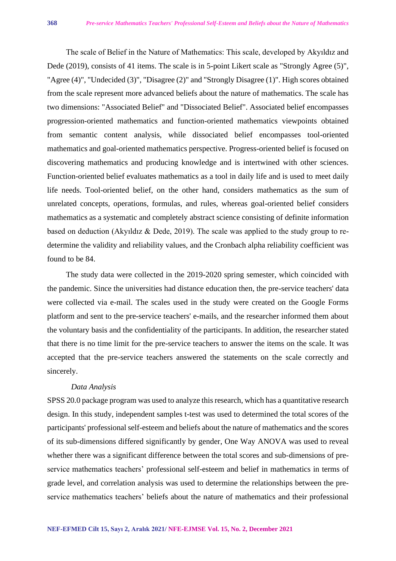The scale of Belief in the Nature of Mathematics: This scale, developed by Akyıldız and Dede (2019), consists of 41 items. The scale is in 5-point Likert scale as "Strongly Agree (5)", "Agree (4)", "Undecided (3)", "Disagree (2)" and "Strongly Disagree (1)". High scores obtained from the scale represent more advanced beliefs about the nature of mathematics. The scale has two dimensions: "Associated Belief" and "Dissociated Belief". Associated belief encompasses progression-oriented mathematics and function-oriented mathematics viewpoints obtained from semantic content analysis, while dissociated belief encompasses tool-oriented mathematics and goal-oriented mathematics perspective. Progress-oriented belief is focused on discovering mathematics and producing knowledge and is intertwined with other sciences. Function-oriented belief evaluates mathematics as a tool in daily life and is used to meet daily life needs. Tool-oriented belief, on the other hand, considers mathematics as the sum of unrelated concepts, operations, formulas, and rules, whereas goal-oriented belief considers mathematics as a systematic and completely abstract science consisting of definite information based on deduction (Akyıldız & Dede, 2019). The scale was applied to the study group to redetermine the validity and reliability values, and the Cronbach alpha reliability coefficient was found to be 84.

The study data were collected in the 2019-2020 spring semester, which coincided with the pandemic. Since the universities had distance education then, the pre-service teachers' data were collected via e-mail. The scales used in the study were created on the Google Forms platform and sent to the pre-service teachers' e-mails, and the researcher informed them about the voluntary basis and the confidentiality of the participants. In addition, the researcher stated that there is no time limit for the pre-service teachers to answer the items on the scale. It was accepted that the pre-service teachers answered the statements on the scale correctly and sincerely.

#### *Data Analysis*

SPSS 20.0 package program was used to analyze this research, which has a quantitative research design. In this study, independent samples t-test was used to determined the total scores of the participants' professional self-esteem and beliefs about the nature of mathematics and the scores of its sub-dimensions differed significantly by gender, One Way ANOVA was used to reveal whether there was a significant difference between the total scores and sub-dimensions of preservice mathematics teachers' professional self-esteem and belief in mathematics in terms of grade level, and correlation analysis was used to determine the relationships between the preservice mathematics teachers' beliefs about the nature of mathematics and their professional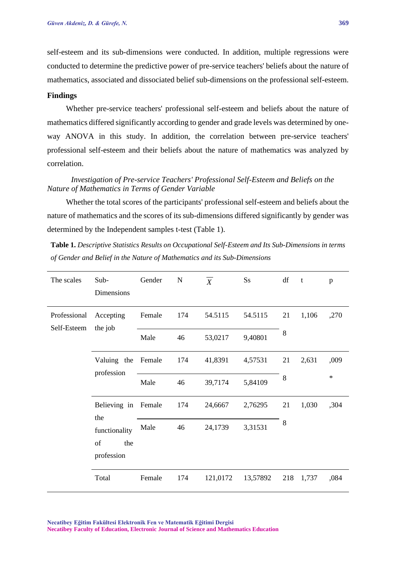self-esteem and its sub-dimensions were conducted. In addition, multiple regressions were conducted to determine the predictive power of pre-service teachers' beliefs about the nature of mathematics, associated and dissociated belief sub-dimensions on the professional self-esteem.

### **Findings**

Whether pre-service teachers' professional self-esteem and beliefs about the nature of mathematics differed significantly according to gender and grade levels was determined by oneway ANOVA in this study. In addition, the correlation between pre-service teachers' professional self-esteem and their beliefs about the nature of mathematics was analyzed by correlation.

## *Investigation of Pre-service Teachers' Professional Self-Esteem and Beliefs on the Nature of Mathematics in Terms of Gender Variable*

Whether the total scores of the participants' professional self-esteem and beliefs about the nature of mathematics and the scores of its sub-dimensions differed significantly by gender was determined by the Independent samples t-test (Table 1).

**Table 1.** *Descriptive Statistics Results on Occupational Self-Esteem and Its Sub-Dimensions in terms of Gender and Belief in the Nature of Mathematics and its Sub-Dimensions*

| The scales                  | Sub-<br>Dimensions                   | Gender | $\mathbf N$ | $\overline{X}$ | Ss       | df  | $-t$  | p       |
|-----------------------------|--------------------------------------|--------|-------------|----------------|----------|-----|-------|---------|
| Professional<br>Self-Esteem | Accepting<br>the job                 | Female | 174         | 54.5115        | 54.5115  | 21  | 1,106 | ,270    |
|                             |                                      | Male   | 46          | 53,0217        | 9,40801  | 8   |       |         |
|                             | Valuing the Female<br>profession     |        | 174         | 41,8391        | 4,57531  | 21  | 2,631 | ,009    |
|                             |                                      | Male   | 46          | 39,7174        | 5,84109  | 8   |       | $\star$ |
|                             | Believing in<br>the<br>functionality | Female | 174         | 24,6667        | 2,76295  | 21  | 1,030 | ,304    |
|                             |                                      | Male   | 46          | 24,1739        | 3,31531  | 8   |       |         |
|                             | of<br>the<br>profession              |        |             |                |          |     |       |         |
|                             | Total                                | Female | 174         | 121,0172       | 13,57892 | 218 | 1,737 | ,084    |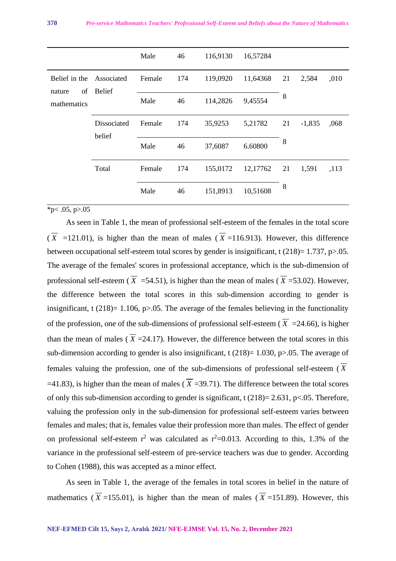|                                              |                             | Male   | 46  | 116,9130 | 16,57284 |    |          |      |
|----------------------------------------------|-----------------------------|--------|-----|----------|----------|----|----------|------|
| Belief in the<br>of<br>nature<br>mathematics | Associated<br><b>Belief</b> | Female | 174 | 119,0920 | 11,64368 | 21 | 2,584    | ,010 |
|                                              |                             | Male   | 46  | 114,2826 | 9,45554  | 8  |          |      |
|                                              | Dissociated<br>belief       | Female | 174 | 35,9253  | 5,21782  | 21 | $-1,835$ | ,068 |
|                                              |                             | Male   | 46  | 37,6087  | 6.60800  | 8  |          |      |
|                                              | Total                       | Female | 174 | 155,0172 | 12,17762 | 21 | 1,591    | ,113 |
|                                              |                             | Male   | 46  | 151,8913 | 10,51608 | 8  |          |      |

 $\overline{*}p<.05, p>05$ 

As seen in Table 1, the mean of professional self-esteem of the females in the total score  $(X = 121.01)$ , is higher than the mean of males  $(X = 116.913)$ . However, this difference between occupational self-esteem total scores by gender is insignificant, t  $(218)=1.737$ , p $>0.05$ . The average of the females' scores in professional acceptance, which is the sub-dimension of professional self-esteem ( *X* =54.51), is higher than the mean of males ( *X* =53.02). However, the difference between the total scores in this sub-dimension according to gender is insignificant, t  $(218)=1.106$ , p>.05. The average of the females believing in the functionality of the profession, one of the sub-dimensions of professional self-esteem  $(X = 24.66)$ , is higher than the mean of males  $(X = 24.17)$ . However, the difference between the total scores in this sub-dimension according to gender is also insignificant, t  $(218)=1.030$ , p $>0.05$ . The average of females valuing the profession, one of the sub-dimensions of professional self-esteem ( *X*  $=$ 41.83), is higher than the mean of males ( $X = 39.71$ ). The difference between the total scores of only this sub-dimension according to gender is significant, t  $(218)=2.631$ , p $< .05$ . Therefore, valuing the profession only in the sub-dimension for professional self-esteem varies between females and males; that is, females value their profession more than males. The effect of gender on professional self-esteem  $r^2$  was calculated as  $r^2$ =0.013. According to this, 1.3% of the variance in the professional self-esteem of pre-service teachers was due to gender. According to Cohen (1988), this was accepted as a minor effect.

As seen in Table 1, the average of the females in total scores in belief in the nature of mathematics ( $X = 155.01$ ), is higher than the mean of males ( $X = 151.89$ ). However, this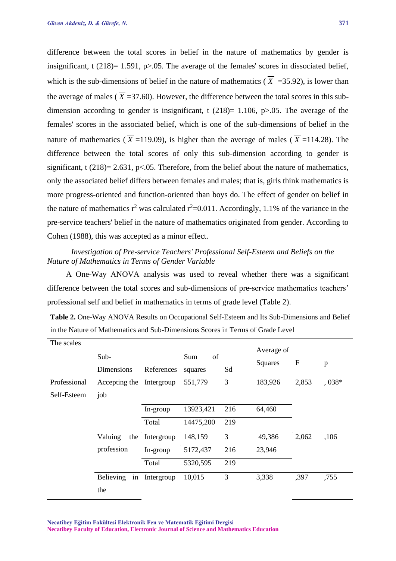difference between the total scores in belief in the nature of mathematics by gender is insignificant, t  $(218)=1.591$ , p $>0.05$ . The average of the females' scores in dissociated belief, which is the sub-dimensions of belief in the nature of mathematics  $(X = 35.92)$ , is lower than the average of males ( *X* =37.60). However, the difference between the total scores in this subdimension according to gender is insignificant, t  $(218)= 1.106$ , p $> 0.05$ . The average of the females' scores in the associated belief, which is one of the sub-dimensions of belief in the nature of mathematics ( $X = 119.09$ ), is higher than the average of males ( $X = 114.28$ ). The difference between the total scores of only this sub-dimension according to gender is significant, t  $(218) = 2.631$ , p<.05. Therefore, from the belief about the nature of mathematics, only the associated belief differs between females and males; that is, girls think mathematics is more progress-oriented and function-oriented than boys do. The effect of gender on belief in the nature of mathematics  $r^2$  was calculated  $r^2=0.011$ . Accordingly, 1.1% of the variance in the pre-service teachers' belief in the nature of mathematics originated from gender. According to Cohen (1988), this was accepted as a minor effect.

## *Investigation of Pre-service Teachers' Professional Self-Esteem and Beliefs on the Nature of Mathematics in Terms of Gender Variable*

A One-Way ANOVA analysis was used to reveal whether there was a significant difference between the total scores and sub-dimensions of pre-service mathematics teachers' professional self and belief in mathematics in terms of grade level (Table 2).

| <b>Table 2.</b> One-Way ANOVA Results on Occupational Self-Esteem and Its Sub-Dimensions and Belief |
|-----------------------------------------------------------------------------------------------------|
| in the Nature of Mathematics and Sub-Dimensions Scores in Terms of Grade Level                      |

| The scales   |                        |            |           |     | Average of     |                  |         |
|--------------|------------------------|------------|-----------|-----|----------------|------------------|---------|
|              | Sub-                   |            | Sum<br>of |     |                |                  |         |
|              | Dimensions             | References | squares   | Sd  | <b>Squares</b> | $\boldsymbol{F}$ | p       |
| Professional | Accepting the          | Intergroup | 551,779   | 3   | 183,926        | 2,853            | $,038*$ |
| Self-Esteem  | job                    |            |           |     |                |                  |         |
|              |                        | In-group   | 13923,421 | 216 | 64,460         |                  |         |
|              |                        | Total      | 14475,200 | 219 |                |                  |         |
|              | Valuing<br>the         | Intergroup | 148,159   | 3   | 49,386         | 2,062            | ,106    |
|              | profession             | In-group   | 5172,437  | 216 | 23,946         |                  |         |
|              |                        | Total      | 5320,595  | 219 |                |                  |         |
|              | Believing<br>in<br>the | Intergroup | 10,015    | 3   | 3,338          | ,397             | ,755    |

**Necatibey Eğitim Fakültesi Elektronik Fen ve Matematik Eğitimi Dergisi Necatibey Faculty of Education, Electronic Journal of Science and Mathematics Education**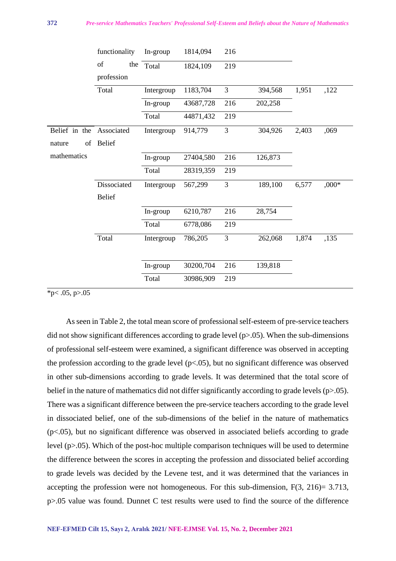|               | functionality | In-group   | 1814,094  | 216 |         |       |         |
|---------------|---------------|------------|-----------|-----|---------|-------|---------|
|               | of<br>the     | Total      | 1824,109  | 219 |         |       |         |
|               | profession    |            |           |     |         |       |         |
|               | Total         | Intergroup | 1183,704  | 3   | 394,568 | 1,951 | ,122    |
|               |               | In-group   | 43687,728 | 216 | 202,258 |       |         |
|               |               | Total      | 44871,432 | 219 |         |       |         |
| Belief in the | Associated    | Intergroup | 914,779   | 3   | 304,926 | 2,403 | ,069    |
| of<br>nature  | <b>Belief</b> |            |           |     |         |       |         |
| mathematics   |               | In-group   | 27404,580 | 216 | 126,873 |       |         |
|               |               | Total      | 28319,359 | 219 |         |       |         |
|               | Dissociated   | Intergroup | 567,299   | 3   | 189,100 | 6,577 | $,000*$ |
|               | <b>Belief</b> |            |           |     |         |       |         |
|               |               | In-group   | 6210,787  | 216 | 28,754  |       |         |
|               |               | Total      | 6778,086  | 219 |         |       |         |
|               | Total         | Intergroup | 786,205   | 3   | 262,068 | 1,874 | ,135    |
|               |               |            |           |     |         |       |         |
|               |               | In-group   | 30200,704 | 216 | 139,818 |       |         |
|               |               | Total      | 30986,909 | 219 |         |       |         |

 $*p$  < .05, p > .05

As seen in Table 2, the total mean score of professional self-esteem of pre-service teachers did not show significant differences according to grade level (p>.05). When the sub-dimensions of professional self-esteem were examined, a significant difference was observed in accepting the profession according to the grade level  $(p<0.05)$ , but no significant difference was observed in other sub-dimensions according to grade levels. It was determined that the total score of belief in the nature of mathematics did not differ significantly according to grade levels (p>.05). There was a significant difference between the pre-service teachers according to the grade level in dissociated belief, one of the sub-dimensions of the belief in the nature of mathematics (p<.05), but no significant difference was observed in associated beliefs according to grade level (p>.05). Which of the post-hoc multiple comparison techniques will be used to determine the difference between the scores in accepting the profession and dissociated belief according to grade levels was decided by the Levene test, and it was determined that the variances in accepting the profession were not homogeneous. For this sub-dimension, F(3, 216)= 3.713, p>.05 value was found. Dunnet C test results were used to find the source of the difference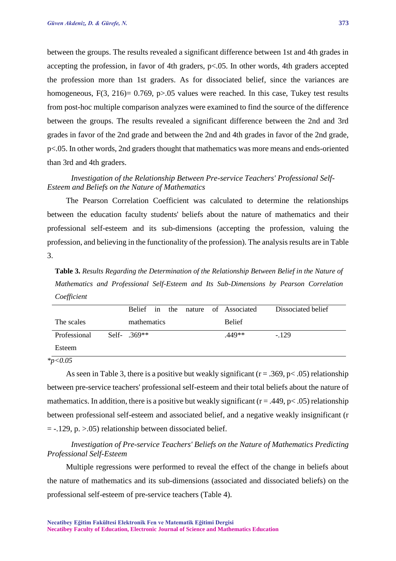between the groups. The results revealed a significant difference between 1st and 4th grades in accepting the profession, in favor of 4th graders, p<.05. In other words, 4th graders accepted the profession more than 1st graders. As for dissociated belief, since the variances are homogeneous,  $F(3, 216) = 0.769$ , p $> 0.05$  values were reached. In this case, Tukey test results from post-hoc multiple comparison analyzes were examined to find the source of the difference between the groups. The results revealed a significant difference between the 2nd and 3rd grades in favor of the 2nd grade and between the 2nd and 4th grades in favor of the 2nd grade, p<.05. In other words, 2nd graders thought that mathematics was more means and ends-oriented than 3rd and 4th graders.

### *Investigation of the Relationship Between Pre-service Teachers' Professional Self-Esteem and Beliefs on the Nature of Mathematics*

The Pearson Correlation Coefficient was calculated to determine the relationships between the education faculty students' beliefs about the nature of mathematics and their professional self-esteem and its sub-dimensions (accepting the profession, valuing the profession, and believing in the functionality of the profession). The analysis results are in Table 3.

**Table 3.** *Results Regarding the Determination of the Relationship Between Belief in the Nature of Mathematics and Professional Self-Esteem and Its Sub-Dimensions by Pearson Correlation Coefficient*

|              |                |  |  | Belief in the nature of Associated | Dissociated belief |
|--------------|----------------|--|--|------------------------------------|--------------------|
| The scales   | mathematics    |  |  | <b>Belief</b>                      |                    |
| Professional | Self- $.369**$ |  |  | .449**                             | $-129$             |
| Esteem       |                |  |  |                                    |                    |

*\*p<0.05* 

As seen in Table 3, there is a positive but weakly significant ( $r = .369$ ,  $p < .05$ ) relationship between pre-service teachers' professional self-esteem and their total beliefs about the nature of mathematics. In addition, there is a positive but weakly significant ( $r = .449$ ,  $p < .05$ ) relationship between professional self-esteem and associated belief, and a negative weakly insignificant (r  $= -.129$ , p.  $> 0.05$ ) relationship between dissociated belief.

*Investigation of Pre-service Teachers' Beliefs on the Nature of Mathematics Predicting Professional Self-Esteem*

Multiple regressions were performed to reveal the effect of the change in beliefs about the nature of mathematics and its sub-dimensions (associated and dissociated beliefs) on the professional self-esteem of pre-service teachers (Table 4).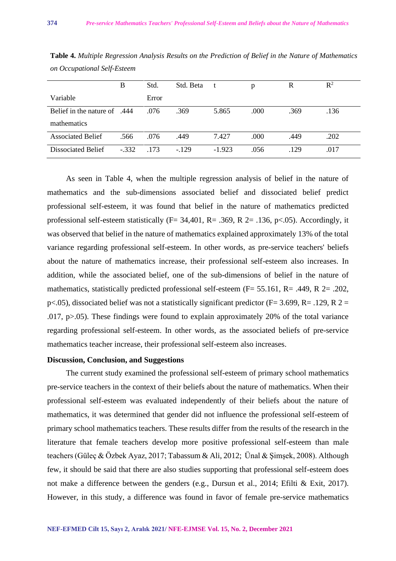|                                     | B       | Std.  | Std. Beta | t        | p    | R    | $R^2$ |
|-------------------------------------|---------|-------|-----------|----------|------|------|-------|
| Variable                            |         | Error |           |          |      |      |       |
| <b>Belief</b> in the nature of .444 |         | .076  | .369      | 5.865    | .000 | .369 | .136  |
| mathematics                         |         |       |           |          |      |      |       |
| <b>Associated Belief</b>            | .566    | .076  | .449      | 7.427    | .000 | .449 | .202  |
| Dissociated Belief                  | $-.332$ | .173  | $-129$    | $-1.923$ | .056 | .129 | .017  |

**Table 4.** *Multiple Regression Analysis Results on the Prediction of Belief in the Nature of Mathematics on Occupational Self-Esteem*

As seen in Table 4, when the multiple regression analysis of belief in the nature of mathematics and the sub-dimensions associated belief and dissociated belief predict professional self-esteem, it was found that belief in the nature of mathematics predicted professional self-esteem statistically (F= 34,401, R= .369, R 2= .136, p<.05). Accordingly, it was observed that belief in the nature of mathematics explained approximately 13% of the total variance regarding professional self-esteem. In other words, as pre-service teachers' beliefs about the nature of mathematics increase, their professional self-esteem also increases. In addition, while the associated belief, one of the sub-dimensions of belief in the nature of mathematics, statistically predicted professional self-esteem (F= 55.161, R= .449, R 2= .202, p<.05), dissociated belief was not a statistically significant predictor (F= 3.699, R= .129, R 2 = .017, p>.05). These findings were found to explain approximately 20% of the total variance regarding professional self-esteem. In other words, as the associated beliefs of pre-service mathematics teacher increase, their professional self-esteem also increases.

### **Discussion, Conclusion, and Suggestions**

The current study examined the professional self-esteem of primary school mathematics pre-service teachers in the context of their beliefs about the nature of mathematics. When their professional self-esteem was evaluated independently of their beliefs about the nature of mathematics, it was determined that gender did not influence the professional self-esteem of primary school mathematics teachers. These results differ from the results of the research in the literature that female teachers develop more positive professional self-esteem than male teachers (Güleç & Özbek Ayaz, 2017; Tabassum & Ali, 2012; Ünal & Şimşek, 2008). Although few, it should be said that there are also studies supporting that professional self-esteem does not make a difference between the genders (e.g., Dursun et al., 2014; Efilti & Exit, 2017). However, in this study, a difference was found in favor of female pre-service mathematics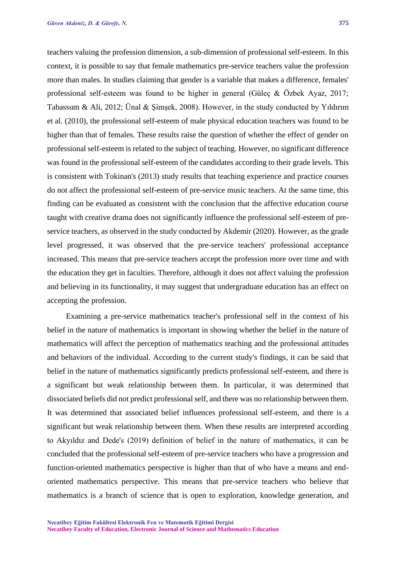teachers valuing the profession dimension, a sub-dimension of professional self-esteem. In this context, it is possible to say that female mathematics pre-service teachers value the profession more than males. In studies claiming that gender is a variable that makes a difference, females' professional self-esteem was found to be higher in general (Güleç & Özbek Ayaz, 2017; Tabassum & Ali, 2012; Ünal & Şimşek, 2008). However, in the study conducted by Yıldırım et al. (2010), the professional self-esteem of male physical education teachers was found to be higher than that of females. These results raise the question of whether the effect of gender on professional self-esteem is related to the subject of teaching. However, no significant difference was found in the professional self-esteem of the candidates according to their grade levels. This is consistent with Tokinan's (2013) study results that teaching experience and practice courses do not affect the professional self-esteem of pre-service music teachers. At the same time, this finding can be evaluated as consistent with the conclusion that the affective education course taught with creative drama does not significantly influence the professional self-esteem of preservice teachers, as observed in the study conducted by Akdemir (2020). However, as the grade level progressed, it was observed that the pre-service teachers' professional acceptance increased. This means that pre-service teachers accept the profession more over time and with the education they get in faculties. Therefore, although it does not affect valuing the profession and believing in its functionality, it may suggest that undergraduate education has an effect on accepting the profession.

Examining a pre-service mathematics teacher's professional self in the context of his belief in the nature of mathematics is important in showing whether the belief in the nature of mathematics will affect the perception of mathematics teaching and the professional attitudes and behaviors of the individual. According to the current study's findings, it can be said that belief in the nature of mathematics significantly predicts professional self-esteem, and there is a significant but weak relationship between them. In particular, it was determined that dissociated beliefs did not predict professional self, and there was no relationship between them. It was determined that associated belief influences professional self-esteem, and there is a significant but weak relationship between them. When these results are interpreted according to Akyıldız and Dede's (2019) definition of belief in the nature of mathematics, it can be concluded that the professional self-esteem of pre-service teachers who have a progression and function-oriented mathematics perspective is higher than that of who have a means and endoriented mathematics perspective. This means that pre-service teachers who believe that mathematics is a branch of science that is open to exploration, knowledge generation, and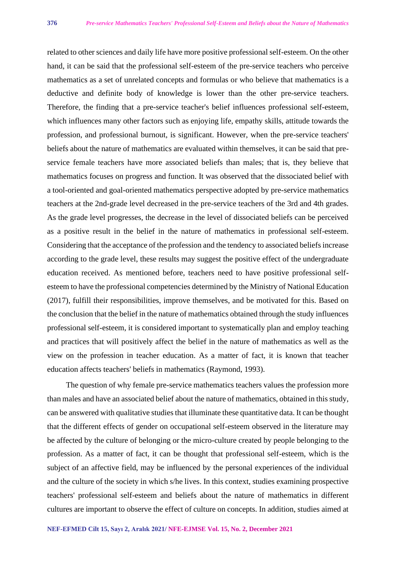related to other sciences and daily life have more positive professional self-esteem. On the other hand, it can be said that the professional self-esteem of the pre-service teachers who perceive mathematics as a set of unrelated concepts and formulas or who believe that mathematics is a deductive and definite body of knowledge is lower than the other pre-service teachers. Therefore, the finding that a pre-service teacher's belief influences professional self-esteem, which influences many other factors such as enjoying life, empathy skills, attitude towards the profession, and professional burnout, is significant. However, when the pre-service teachers' beliefs about the nature of mathematics are evaluated within themselves, it can be said that preservice female teachers have more associated beliefs than males; that is, they believe that mathematics focuses on progress and function. It was observed that the dissociated belief with a tool-oriented and goal-oriented mathematics perspective adopted by pre-service mathematics teachers at the 2nd-grade level decreased in the pre-service teachers of the 3rd and 4th grades. As the grade level progresses, the decrease in the level of dissociated beliefs can be perceived as a positive result in the belief in the nature of mathematics in professional self-esteem. Considering that the acceptance of the profession and the tendency to associated beliefs increase according to the grade level, these results may suggest the positive effect of the undergraduate education received. As mentioned before, teachers need to have positive professional selfesteem to have the professional competencies determined by the Ministry of National Education (2017), fulfill their responsibilities, improve themselves, and be motivated for this. Based on the conclusion that the belief in the nature of mathematics obtained through the study influences professional self-esteem, it is considered important to systematically plan and employ teaching and practices that will positively affect the belief in the nature of mathematics as well as the view on the profession in teacher education. As a matter of fact, it is known that teacher education affects teachers' beliefs in mathematics (Raymond, 1993).

The question of why female pre-service mathematics teachers values the profession more than males and have an associated belief about the nature of mathematics, obtained in this study, can be answered with qualitative studies that illuminate these quantitative data. It can be thought that the different effects of gender on occupational self-esteem observed in the literature may be affected by the culture of belonging or the micro-culture created by people belonging to the profession. As a matter of fact, it can be thought that professional self-esteem, which is the subject of an affective field, may be influenced by the personal experiences of the individual and the culture of the society in which s/he lives. In this context, studies examining prospective teachers' professional self-esteem and beliefs about the nature of mathematics in different cultures are important to observe the effect of culture on concepts. In addition, studies aimed at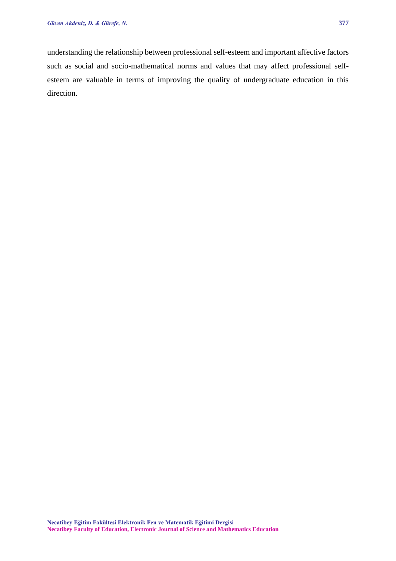understanding the relationship between professional self-esteem and important affective factors such as social and socio-mathematical norms and values that may affect professional selfesteem are valuable in terms of improving the quality of undergraduate education in this direction.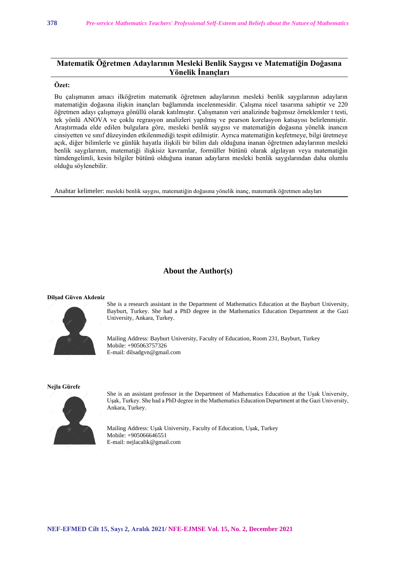## **Matematik Öğretmen Adaylarının Mesleki Benlik Saygısı ve Matematiğin Doğasına Yönelik İnançları**

### **Özet:**

Bu çalışmanın amacı ilköğretim matematik öğretmen adaylarının mesleki benlik saygılarının adayların matematiğin doğasına ilişkin inançları bağlamında incelenmesidir. Çalışma nicel tasarıma sahiptir ve 220 öğretmen adayı çalışmaya gönüllü olarak katılmıştır. Çalışmanın veri analizinde bağımsız örneklemler t testi, tek yönlü ANOVA ve çoklu regrasyon analizleri yapılmış ve pearson korelasyon katsayısı belirlenmiştir. Araştırmada elde edilen bulgulara göre, mesleki benlik saygısı ve matematiğin doğasına yönelik inancın cinsiyetten ve sınıf düzeyinden etkilenmediği tespit edilmiştir. Ayrıca matematiğin keşfetmeye, bilgi üretmeye açık, diğer bilimlerle ve günlük hayatla ilişkili bir bilim dalı olduğuna inanan öğretmen adaylarının mesleki benlik saygılarının, matematiği ilişkisiz kavramlar, formüller bütünü olarak algılayan veya matematiğin tümdengelimli, kesin bilgiler bütünü olduğuna inanan adayların mesleki benlik saygılarından daha olumlu olduğu söylenebilir.

Anahtar kelimeler: mesleki benlik saygısı, matematiğin doğasına yönelik inanç, matematik öğretmen adayları

#### **About the Author(s)**

#### **Dilşad Güven Akdeniz**



She is a research assistant in the Department of Mathematics Education at the Bayburt University, Bayburt, Turkey. She had a PhD degree in the Mathematics Education Department at the Gazi University, Ankara, Turkey.

Mailing Address: Bayburt University, Faculty of Education, Room 231, Bayburt, Turkey Mobile: +905063757326 E-mail: dilsadgvn@gmail.com

#### **Nejla Gürefe**



She is an assistant professor in the Department of Mathematics Education at the Uşak University, Uşak, Turkey. She had a PhD degree in the Mathematics Education Department at the Gazi University, Ankara, Turkey.

Mailing Address: Uşak University, Faculty of Education, Uşak, Turkey Mobile: +905066646551 E-mail: nejlacalik@gmail.com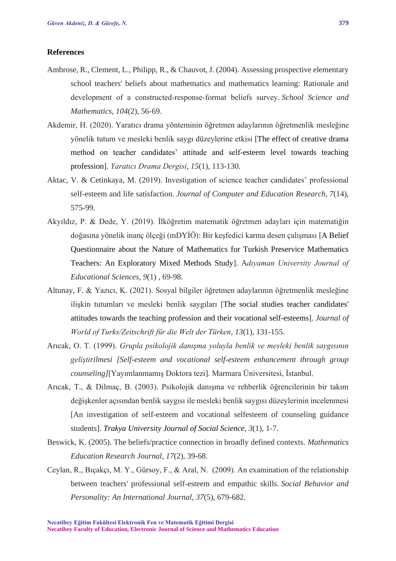### **References**

- Ambrose, R., Clement, L., Philipp, R., & Chauvot, J. (2004). Assessing prospective elementary school teachers' beliefs about mathematics and mathematics learning: Rationale and development of a constructed‐response‐format beliefs survey. *School Science and Mathematics*, *104*(2), 56-69.
- Akdemir, H. (2020). Yaratıcı drama yönteminin öğretmen adaylarının öğretmenlik mesleğine yönelik tutum ve mesleki benlik saygı düzeylerine etkisi [The effect of creative drama method on teacher candidates' attitude and self-esteem level towards teaching profession]. *Yaratıcı Drama Dergisi*, *15*(1), 113-130.
- Aktac, V. & Cetinkaya, M. (2019). Investigation of science teacher candidates' professional self-esteem and life satisfaction. *Journal of Computer and Education Research*, *7*(14), 575-99.
- Akyıldız, P. & Dede, Y. (2019). İlköğretim matematik öğretmen adayları için matematiğin doğasına yönelik inanç ölçeği (mDYİÖ): Bir keşfedici karma desen çalışması [A Belief Questionnaire about the Nature of Mathematics for Turkish Preservice Mathematics Teachers: An Exploratory Mixed Methods Study]. A*dıyaman University Journal of Educational Sciences*, *9*(1) , 69-98.
- Altunay, F. & Yazıcı, K. (2021). Sosyal bilgiler öğretmen adaylarının öğretmenlik mesleğine ilişkin tutumları ve mesleki benlik saygıları [The social studies teacher candidates' attitudes towards the teaching profession and their vocational self-esteems]. *Journal of World of Turks/Zeitschrift für die Welt der Türken*, *13*(1), 131-155.
- Arıcak, O. T. (1999). *Grupla psikolojik danışma yoluyla benlik ve mesleki benlik saygısının geliştirilmesi [Self-esteem and vocational self-esteem enhancement through group counseling]*[Yayımlanmamış Doktora tezi]. Marmara Üniversitesi, İstanbul.
- Arıcak, T., & Dilmaç, B. (2003). Psikolojik danışma ve rehberlik öğrencilerinin bir takım değişkenler açısından benlik saygısı ile mesleki benlik saygısı düzeylerinin incelenmesi [An investigation of self-esteem and vocational selfesteem of counseling guidance students]. *Trakya University Journal of Social Science, 3*(1), 1-7.
- Beswick, K. (2005). The beliefs/practice connection in broadly defined contexts. *Mathematics Education Research Journal*, *17*(2), 39-68.
- Ceylan, R., Bıçakçı, M. Y., Gürsoy, F., & Aral, N. (2009). An examination of the relationship between teachers' professional self-esteem and empathic skills. *Social Behavior and Personality: An International Journal*, *37*(5), 679-682.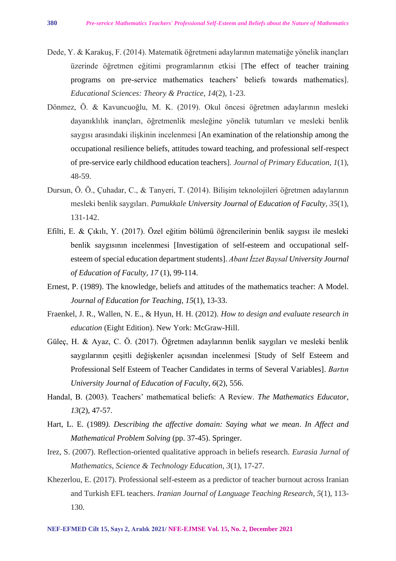- Dede, Y. & Karakuş, F. (2014). Matematik öğretmeni adaylarının matematiğe yönelik inançları üzerinde öğretmen eğitimi programlarının etkisi [The effect of teacher training programs on pre-service mathematics teachers' beliefs towards mathematics]. *Educational Sciences: Theory & Practice*, *14*(2), 1-23.
- Dönmez, Ö. & Kavuncuoğlu, M. K. (2019). Okul öncesi öğretmen adaylarının mesleki dayanıklılık inançları, öğretmenlik mesleğine yönelik tutumları ve mesleki benlik saygısı arasındaki ilişkinin incelenmesi [An examination of the relationship among the occupational resilience beliefs, attitudes toward teaching, and professional self-respect of pre-service early childhood education teachers]. *Journal of Primary Education*, *1*(1), 48-59.
- Dursun, Ö. Ö., Çuhadar, C., & Tanyeri, T. (2014). Bilişim teknolojileri öğretmen adaylarının mesleki benlik saygıları. *Pamukkale University Journal of Education of Faculty*, *35*(1), 131-142.
- Efilti, E. & Çıkılı, Y. (2017). Özel eğitim bölümü öğrencilerinin benlik saygısı ile mesleki benlik saygısının incelenmesi [Investigation of self-esteem and occupational selfesteem of special education department students]. *Abant İzzet Baysal University Journal of Education of Faculty, 17* (1), 99-114.
- Ernest, P. (1989). The knowledge, beliefs and attitudes of the mathematics teacher: A Model. *Journal of Education for Teaching*, *15*(1), 13-33.
- Fraenkel, J. R., Wallen, N. E., & Hyun, H. H. (2012). *How to design and evaluate research in education* (Eight Edition). New York: McGraw-Hill.
- Güleç, H. & Ayaz, C. Ö. (2017). Öğretmen adaylarının benlik saygıları ve mesleki benlik saygılarının çeşitli değişkenler açısından incelenmesi [Study of Self Esteem and Professional Self Esteem of Teacher Candidates in terms of Several Variables]. *Bartın University Journal of Education of Faculty, 6*(2), 556.
- Handal, B. (2003). Teachers' mathematical beliefs: A Review. *The Mathematics Educator*, *13*(2), 47-57.
- Hart, L. E. (1989*). Describing the affective domain: Saying what we mean*. *In Affect and Mathematical Problem Solving* (pp. 37-45). Springer.
- Irez, S. (2007). Reflection-oriented qualitative approach in beliefs research. *Eurasia Jurnal of Mathematics, Science & Technology Education*, *3*(1), 17-27.
- Khezerlou, E. (2017). Professional self-esteem as a predictor of teacher burnout across Iranian and Turkish EFL teachers. *Iranian Journal of Language Teaching Research*, *5*(1), 113- 130.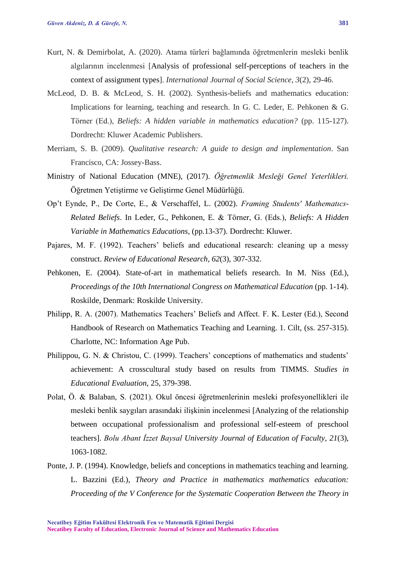- Kurt, N. & Demirbolat, A. (2020). Atama türleri bağlamında öğretmenlerin mesleki benlik algılarının incelenmesi [Analysis of professional self-perceptions of teachers in the context of assignment types]. *International Journal of Social Science*, *3*(2), 29-46.
- McLeod, D. B. & McLeod, S. H. (2002). Synthesis-beliefs and mathematics education: Implications for learning, teaching and research. In G. C. Leder, E. Pehkonen & G. Törner (Ed.), *Beliefs: A hidden variable in mathematics education?* (pp. 115-127). Dordrecht: Kluwer Academic Publishers.
- Merriam, S. B. (2009). *Qualitative research: A guide to design and implementation*. San Francisco, CA: Jossey-Bass.
- Ministry of National Education (MNE), (2017). *Öğretmenlik Mesleği Genel Yeterlikleri.* Öğretmen Yetiştirme ve Geliştirme Genel Müdürlüğü.
- Op't Eynde, P., De Corte, E., & Verschaffel, L. (2002). *Framing Students' Mathematıcs-Related Beliefs*. In Leder, G., Pehkonen, E. & Törner, G. (Eds.), *Beliefs: A Hidden Variable in Mathematics Educations*, (pp.13-37). Dordrecht: Kluwer.
- Pajares, M. F. (1992). Teachers' beliefs and educational research: cleaning up a messy construct. *Review of Educational Research*, *62*(3), 307-332.
- Pehkonen, E. (2004). State-of-art in mathematical beliefs research. In M. Niss (Ed.), *Proceedings of the 10th International Congress on Mathematical Education* (pp. 1-14). Roskilde, Denmark: Roskilde University.
- Philipp, R. A. (2007). Mathematics Teachers' Beliefs and Affect. F. K. Lester (Ed.), Second Handbook of Research on Mathematics Teaching and Learning. 1. Cilt, (ss. 257-315). Charlotte, NC: Information Age Pub.
- Philippou, G. N. & Christou, C. (1999). Teachers' conceptions of mathematics and students' achievement: A crosscultural study based on results from TIMMS. *Studies in Educational Evaluation*, 25, 379-398.
- Polat, Ö. & Balaban, S. (2021). Okul öncesi öğretmenlerinin mesleki profesyonellikleri ile mesleki benlik saygıları arasındaki ilişkinin incelenmesi [Analyzing of the relationship between occupational professionalism and professional self-esteem of preschool teachers]. *Bolu Abant İzzet Baysal University Journal of Education of Faculty, 21*(3), 1063-1082.
- Ponte, J. P. (1994). Knowledge, beliefs and conceptions in mathematics teaching and learning. L. Bazzini (Ed.), *Theory and Practice in mathematics mathematics education: Proceeding of the V Conference for the Systematic Cooperation Between the Theory in*